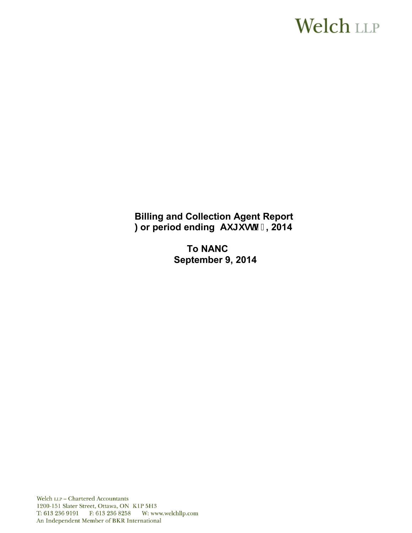# **Welch LLP**

**Billing and Collection Agent Report**  $:$  or period ending A<sub>i</sub> [i gh' % 2014

> **To NANC September 9, 2014**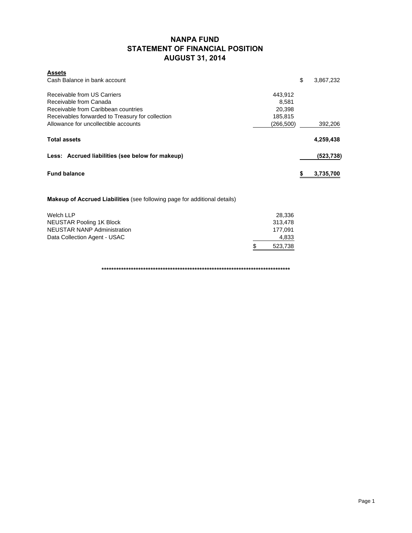### **NANPA FUND STATEMENT OF FINANCIAL POSITION AUGUST 31, 2014**

| <b>Assets</b>                                    |            |           |
|--------------------------------------------------|------------|-----------|
| Cash Balance in bank account                     | \$         | 3,867,232 |
| Receivable from US Carriers                      | 443.912    |           |
| Receivable from Canada                           | 8,581      |           |
| Receivable from Caribbean countries              | 20,398     |           |
| Receivables forwarded to Treasury for collection | 185,815    |           |
| Allowance for uncollectible accounts             | (266, 500) | 392,206   |
| <b>Total assets</b>                              |            | 4,259,438 |
| Less: Accrued liabilities (see below for makeup) |            | (523,738) |
| <b>Fund balance</b>                              |            | 3,735,700 |

#### **Makeup of Accrued Liabilities** (see following page for additional details)

| Welch LLP                    | 28.336         |
|------------------------------|----------------|
| NEUSTAR Pooling 1K Block     | 313.478        |
| NEUSTAR NANP Administration  | 177.091        |
| Data Collection Agent - USAC | 4,833          |
|                              | \$.<br>523.738 |

**\*\*\*\*\*\*\*\*\*\*\*\*\*\*\*\*\*\*\*\*\*\*\*\*\*\*\*\*\*\*\*\*\*\*\*\*\*\*\*\*\*\*\*\*\*\*\*\*\*\*\*\*\*\*\*\*\*\*\*\*\*\*\*\*\*\*\*\*\*\*\*\*\*\*\*\*\***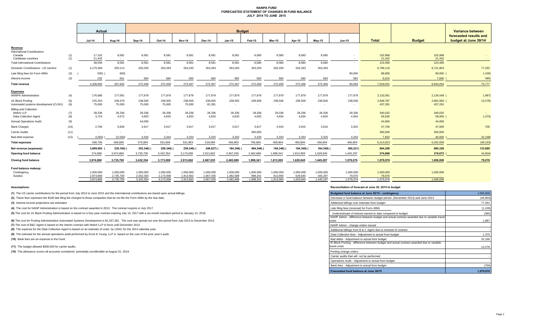#### **NANPA FUND FORECASTED STATEMENT OF CHANGES IN FUND BALANCE JULY 2014 TO JUNE 2015**

|                                                                            |            | Actual                              |                                     | <b>Budget</b>                       |                                     |                                     |                                     |                                     |                                   |                                   |                                   |                                   |                                  | Variance between                 |                        |                                                |
|----------------------------------------------------------------------------|------------|-------------------------------------|-------------------------------------|-------------------------------------|-------------------------------------|-------------------------------------|-------------------------------------|-------------------------------------|-----------------------------------|-----------------------------------|-----------------------------------|-----------------------------------|----------------------------------|----------------------------------|------------------------|------------------------------------------------|
|                                                                            |            | <b>Jul-14</b>                       | Aug-14                              | Sep-14                              | Oct-14                              | <b>Nov-14</b>                       | Dec-14                              | $Jan-15$                            | Feb-15                            | <b>Mar-15</b>                     | Apr-15                            | Mav-15                            | <b>Jun-15</b>                    | <b>Total</b>                     | <b>Budget</b>          | forecasted results and<br>budget at June 30/14 |
| Revenue                                                                    |            |                                     |                                     |                                     |                                     |                                     |                                     |                                     |                                   |                                   |                                   |                                   |                                  |                                  |                        |                                                |
| <b>International Contributions</b><br>Canada<br>Caribbean countries        | (1)<br>(1) | 17,162<br>21.432                    | 8,581<br>$\sim$                     | 8,581<br>$\sim$                     | 8,581<br>$\sim$                     | 8,581<br>$\sim$                     | 8,581<br><b>Contract Contract</b>   | 8,581                               | 8,580<br>$\sim$                   | 8,580                             | 8,580<br>$\sim$                   | 8,580<br>$\sim$                   | $\sim$                           | 102,968<br>21.432                | 102,968<br>21,432      | $\sim$ 100 $\sim$                              |
| <b>Total International Contributions</b>                                   |            | 38,594                              | 8,581                               | 8,581                               | 8,581                               | 8,581                               | 8,581                               | 8,581                               | 8,580                             | 8,580                             | 8,580                             | 8,580                             | $\sim$                           | 124,400                          | 124,400                |                                                |
| Domestic Contributions - US carriers                                       | (1)        | 4,170,366                           | 259,113                             | 263,293                             | 263,293                             | 263,293                             | 263,293                             | 263,293                             | 263,293                           | 263,293                           | 263,293                           | 263,293                           |                                  | 6,799,116                        | 6,721,854              | 77,262                                         |
| Late filing fees for Form 499A                                             | (2)        | 500)                                | 600)                                |                                     |                                     |                                     |                                     |                                     |                                   |                                   |                                   |                                   | 90,000                           | 88,900                           | 90,000                 | 1,100                                          |
| Interest income                                                            | (3)        | 232                                 | 551                                 | 584                                 | 584                                 | 583                                 | 583                                 | 583                                 | 583                               | 583                               | 583                               | 583                               | 583                              | 6,615                            | 7,000                  | 385)                                           |
| <b>Total revenue</b>                                                       |            | 4,208,692                           | 267,645                             | 272,458                             | 272,458                             | 272,457                             | 272,457                             | 272,457                             | 272,456                           | 272,456                           | 272,456                           | 272,456                           | 90,583                           | 7,019,031                        | 6,943,254              | 75,777                                         |
| <b>Expenses</b>                                                            |            |                                     |                                     |                                     |                                     |                                     |                                     |                                     |                                   |                                   |                                   |                                   |                                  |                                  |                        |                                                |
| <b>NANPA Administration</b>                                                | (4)        | 176,680                             | 177,091                             | 177,879                             | 177,879                             | 177,879                             | 177,879                             | 177,879                             | 177,879                           | 177,879                           | 177,879                           | 177,879                           | 177,879                          | 2,132,561                        | 2,134,548 (            | 1,987)                                         |
| 1K Block Pooling<br>Automated systems development (CLIN1)                  | (5)<br>(6) | 225,254<br>75,000                   | 238,478<br>75,000                   | 238,505<br>75,000                   | 238,505<br>75,000                   | 238,505<br>75,000                   | 238,505<br>62.281                   | 238,505<br>$\sim$                   | 238,506<br>$\sim$                 | 238,506<br>$\sim$                 | 238,506<br>$\sim$                 | 238,506<br>$\sim$                 | 238,506<br>$\sim$                | 2,848,787<br>437,281             | 2,862,065 (<br>437,281 | 13,278)                                        |
| <b>Billing and Collection</b><br>Welch LLP<br><b>Data Collection Agent</b> | (7)<br>(8) | 28,336<br>3,724                     | 28,336<br>4,572                     | 28,336<br>4,833                     | 28,336<br>4,833                     | 28,336<br>4,833                     | 28,336<br>4,833                     | 28,336<br>4,833                     | 28,336<br>4,833                   | 28,336<br>4,834                   | 28,336<br>4,834                   | 28,336<br>4,834                   | 28,336<br>4,834                  | 340,032<br>56,630                | 340,032<br>58,000 (    | 1,370                                          |
| <b>Annual Operations Audit</b>                                             | (9)        | $\sim$                              | $\sim$                              | 44,000                              | $\sim 10^{-11}$                     | $\sim$                              | $\sim$                              | $\sim$                              | $\sim$                            | $\sim$                            | $\sim$                            |                                   | $\sim$                           | 44,000                           | 44,000                 |                                                |
| <b>Bank Charges</b>                                                        | (10)       | 2.706                               | 5.828                               | 3.917                               | 3.917                               | 3.917                               | 3.917                               | 3.917                               | 3,917                             | 3.916                             | 3.916                             | 3.916                             | 3.916                            | 47,700                           | 47,000                 | 700                                            |
| Carrier Audits                                                             | (11)       | $\sim$                              | $\overline{\phantom{a}}$            | $\sim$                              | $\sim$                              |                                     | $\sim$                              |                                     | 300,000                           | $\sim$                            | $\sim$                            | $\overline{\phantom{a}}$          | $\sim$                           | 300,000                          | 300,000                |                                                |
| Bad debt expense                                                           | (12)       | 3,000)                              | 22,500)                             | 3,334                               | 3,334                               | 3,333                               | 3,333                               | 3,333                               | 3,333                             | 3,333                             | 3,333                             | 3,333                             | 3,333                            | 7,832                            | 40,000                 | 32,168                                         |
| <b>Total expenses</b>                                                      |            | 508,700                             | 506,805                             | 575,804                             | 531,804                             | 531,803                             | 519,084                             | 456,803                             | 756,804                           | 456,804                           | 456,804                           | 456,804                           | 456,804                          | 6,214,823                        | 6,262,926              | (48, 103)                                      |
| Net revenue (expenses)                                                     |            | 3,699,992                           | 239,160)                            | 303,346)                            | 259,346)                            | 259,346)                            | 246,627)                            | 184,346)                            | 484,348)                          | 184,348)                          | 184,348)                          | 184,348)                          | 366,221)                         | 804,208                          | 680,328                | 123,880                                        |
| Opening fund balance                                                       |            | 274,868                             | 3,974,860                           | 3,735,700                           | 3,432,354                           | 3,173,008                           | 2,913,662                           | 2,667,035                           | 2,482,689                         | 1,998,341                         | 1,813,993                         | 1,629,645                         | 1,445,297                        | 274,868                          | 319,672                | 44,804                                         |
| <b>Closing fund balance</b>                                                |            | 3,974,860                           | 3,735,700                           | 3,432,354                           | 3,173,008                           | 2,913,662                           | 2,667,035                           | 2,482,689                           | 1,998,341                         | 1,813,993                         | 1,629,645                         | 1,445,297                         | 1,079,076                        | 1,079,076                        | 1,000,000              | 79,076                                         |
| Fund balance makeup:                                                       |            |                                     |                                     |                                     |                                     |                                     |                                     |                                     |                                   |                                   |                                   |                                   |                                  |                                  |                        |                                                |
| Contingency<br>Surplus                                                     |            | 1,000,000<br>2,974,860<br>3.974.860 | 1,000,000<br>2,735,700<br>3,735,700 | 1,000,000<br>2,432,354<br>3,432,354 | 1,000,000<br>2,173,008<br>3,173,008 | 1,000,000<br>1,913,662<br>2,913,662 | 1,000,000<br>1,667,035<br>2,667,035 | 1,000,000<br>1,482,689<br>2,482,689 | 1,000,000<br>998,341<br>1,998,341 | 1,000,000<br>813,993<br>1,813,993 | 1,000,000<br>629,645<br>1,629,645 | 1,000,000<br>445,297<br>1,445,297 | 1,000,000<br>79,076<br>1,079,076 | 1,000,000<br>79,076<br>1,079,076 | 1,000,000<br>1,000,000 |                                                |

**(1)** The US carrier contributions for the period from July 2014 to June 2015 and the International contributions are based upon actual billings.

(2) These fees represent the \$100 late filing fee charged to those companies that do not file the Form 499A by the due date.

**(3)** Interest income projections are estimates

**(4)** The cost for NANP Administration is based on the contract awarded in 2013. The contract expires in July 2017.

(5) The cost for 1K Block Pooling Administration is based on a four-year contract expiring July 14, 2017 with a six-month transition period to January 14, 2018.

**(6)** The cost for Pooling Administration Automated Systems Development is \$1,337,281. The cost was spread out over the period from July 2013 to December 2014.

**(7)** The cost of B&C Agent is based on the interim contract with Welch LLP in force until December 2014.

(8) The expense for the Data Collection Agent is based on an estimate of costs by USAC for the 2014 calendar year.

(9) The estimate for the annual operations audit performed by Ernst & Young LLP is based on the cost of the prior year's audit.

**(10)** Bank fees are an expense to the Fund.

**(11)** The budget allowed \$300,000 for carrier audits.

(10) The allowance covers all accounts considered potentially uncollectible at August 31, 2014.

#### **Assumptions: Reconciliation of forecast at June 30, 2015 to budget**

| Budgeted fund balance at June 30/15 - contingency                                                        | 1,000,000 |
|----------------------------------------------------------------------------------------------------------|-----------|
| Decrease in fund balance between budget period (December 2013) and June 2014                             | (44, 804) |
| Additional billings over estimate from budget                                                            | 77,262    |
| Late filing fees (reversal) for Form 499A                                                                | (1, 100)  |
| Underestimate of interest earned to date compared to budget                                              | (385)     |
| NANP Admin - difference between budget and actual contract awarded due to variable travel<br>costs       | 1,987     |
| NANP Admin - change orders issued                                                                        |           |
| Additional billings from B & C Agent due to renewal of contract                                          |           |
| Data Collection fees - Adjustment to actual from budget                                                  | 1,370     |
| Bad debts - Adjustment to actual from budget                                                             | 32,168    |
| IK Block Pooling - difference between budget and actual contract awarded due to variable<br>travel costs | 13,278    |
| Pooling change orders                                                                                    |           |
| Carrier audits that will not be performed                                                                |           |
| Operations Audit - Adjustment to actual from budget                                                      |           |
| Bank fees - Adjustment to actual from budget                                                             | (700)     |
| Forecasted fund balance at June 30/15                                                                    | 1.079.076 |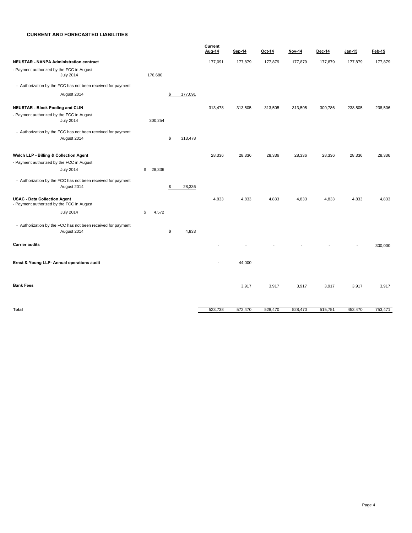#### **CURRENT AND FORECASTED LIABILITIES**

|                                                                                     |              |         | Current |               |         |               |         |         |         |
|-------------------------------------------------------------------------------------|--------------|---------|---------|---------------|---------|---------------|---------|---------|---------|
|                                                                                     |              |         | Aug-14  | <b>Sep-14</b> | Oct-14  | <b>Nov-14</b> | Dec-14  | Jan-15  | Feb-15  |
| NEUSTAR - NANPA Administration contract                                             |              |         | 177,091 | 177,879       | 177,879 | 177,879       | 177,879 | 177,879 | 177,879 |
| - Payment authorized by the FCC in August<br><b>July 2014</b>                       | 176,680      |         |         |               |         |               |         |         |         |
| - Authorization by the FCC has not been received for payment                        |              |         |         |               |         |               |         |         |         |
| August 2014                                                                         | \$           | 177,091 |         |               |         |               |         |         |         |
| <b>NEUSTAR - Block Pooling and CLIN</b>                                             |              |         | 313,478 | 313,505       | 313,505 | 313,505       | 300,786 | 238,505 | 238,506 |
| - Payment authorized by the FCC in August<br><b>July 2014</b>                       | 300,254      |         |         |               |         |               |         |         |         |
| - Authorization by the FCC has not been received for payment<br>August 2014         | \$           | 313,478 |         |               |         |               |         |         |         |
| Welch LLP - Billing & Collection Agent<br>- Payment authorized by the FCC in August |              |         | 28,336  | 28,336        | 28,336  | 28,336        | 28,336  | 28,336  | 28,336  |
| <b>July 2014</b>                                                                    | \$<br>28,336 |         |         |               |         |               |         |         |         |
| - Authorization by the FCC has not been received for payment<br>August 2014         | \$           | 28,336  |         |               |         |               |         |         |         |
| <b>USAC - Data Collection Agent</b><br>- Payment authorized by the FCC in August    |              |         | 4,833   | 4,833         | 4,833   | 4,833         | 4,833   | 4,833   | 4,833   |
| <b>July 2014</b>                                                                    | 4,572<br>\$  |         |         |               |         |               |         |         |         |
| - Authorization by the FCC has not been received for payment<br>August 2014         | \$           | 4,833   |         |               |         |               |         |         |         |
| <b>Carrier audits</b>                                                               |              |         |         |               |         |               |         |         | 300,000 |
| Ernst & Young LLP- Annual operations audit                                          |              |         |         | 44,000        |         |               |         |         |         |
| <b>Bank Fees</b>                                                                    |              |         |         | 3,917         | 3,917   | 3,917         | 3,917   | 3,917   | 3,917   |
| <b>Total</b>                                                                        |              |         | 523,738 | 572,470       | 528,470 | 528,470       | 515,751 | 453,470 | 753,471 |